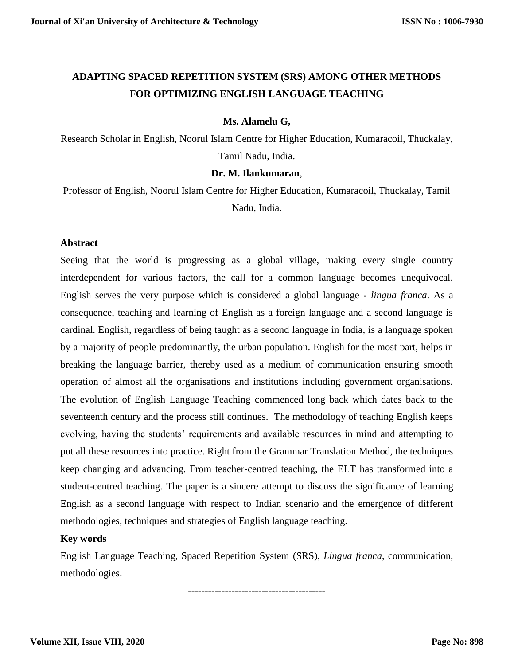# **ADAPTING SPACED REPETITION SYSTEM (SRS) AMONG OTHER METHODS FOR OPTIMIZING ENGLISH LANGUAGE TEACHING**

## **Ms. Alamelu G,**

Research Scholar in English, Noorul Islam Centre for Higher Education, Kumaracoil, Thuckalay, Tamil Nadu, India.

## **Dr. M. Ilankumaran**,

Professor of English, Noorul Islam Centre for Higher Education, Kumaracoil, Thuckalay, Tamil Nadu, India.

## **Abstract**

Seeing that the world is progressing as a global village, making every single country interdependent for various factors, the call for a common language becomes unequivocal. English serves the very purpose which is considered a global language - *lingua franca*. As a consequence, teaching and learning of English as a foreign language and a second language is cardinal. English, regardless of being taught as a second language in India, is a language spoken by a majority of people predominantly, the urban population. English for the most part, helps in breaking the language barrier, thereby used as a medium of communication ensuring smooth operation of almost all the organisations and institutions including government organisations. The evolution of English Language Teaching commenced long back which dates back to the seventeenth century and the process still continues. The methodology of teaching English keeps evolving, having the students' requirements and available resources in mind and attempting to put all these resources into practice. Right from the Grammar Translation Method, the techniques keep changing and advancing. From teacher-centred teaching, the ELT has transformed into a student-centred teaching. The paper is a sincere attempt to discuss the significance of learning English as a second language with respect to Indian scenario and the emergence of different methodologies, techniques and strategies of English language teaching.

## **Key words**

English Language Teaching, Spaced Repetition System (SRS), *Lingua franca*, communication, methodologies.

-----------------------------------------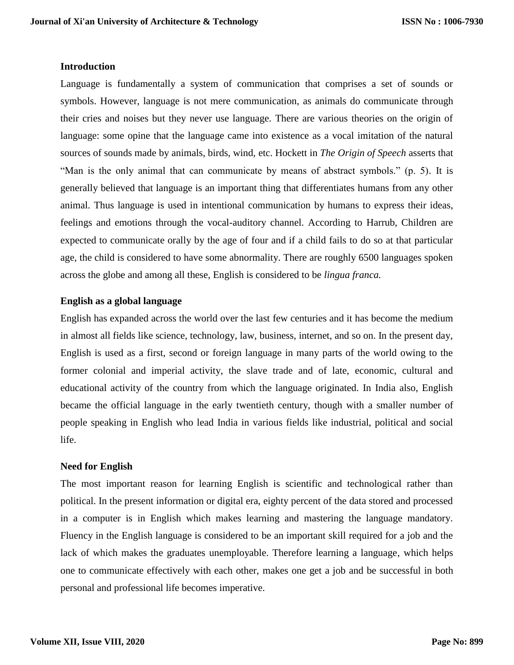## **Introduction**

Language is fundamentally a system of communication that comprises a set of sounds or symbols. However, language is not mere communication, as animals do communicate through their cries and noises but they never use language. There are various theories on the origin of language: some opine that the language came into existence as a vocal imitation of the natural sources of sounds made by animals, birds, wind, etc. Hockett in *The Origin of Speech* asserts that "Man is the only animal that can communicate by means of abstract symbols." (p. 5). It is generally believed that language is an important thing that differentiates humans from any other animal. Thus language is used in intentional communication by humans to express their ideas, feelings and emotions through the vocal-auditory channel. According to Harrub, Children are expected to communicate orally by the age of four and if a child fails to do so at that particular age, the child is considered to have some abnormality. There are roughly 6500 languages spoken across the globe and among all these, English is considered to be *lingua franca.* 

## **English as a global language**

English has expanded across the world over the last few centuries and it has become the medium in almost all fields like science, technology, law, business, internet, and so on. In the present day, English is used as a first, second or foreign language in many parts of the world owing to the former colonial and imperial activity, the slave trade and of late, economic, cultural and educational activity of the country from which the language originated. In India also, English became the official language in the early twentieth century, though with a smaller number of people speaking in English who lead India in various fields like industrial, political and social life.

## **Need for English**

The most important reason for learning English is scientific and technological rather than political. In the present information or digital era, eighty percent of the data stored and processed in a computer is in English which makes learning and mastering the language mandatory. Fluency in the English language is considered to be an important skill required for a job and the lack of which makes the graduates unemployable. Therefore learning a language, which helps one to communicate effectively with each other, makes one get a job and be successful in both personal and professional life becomes imperative.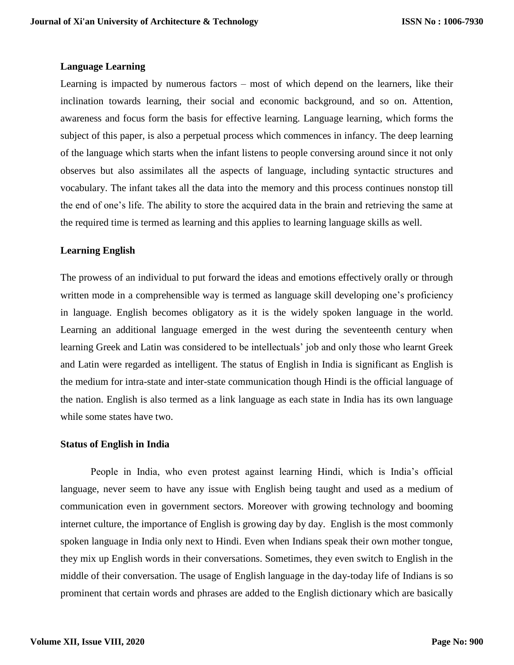## **Language Learning**

Learning is impacted by numerous factors – most of which depend on the learners, like their inclination towards learning, their social and economic background, and so on. Attention, awareness and focus form the basis for effective learning. Language learning, which forms the subject of this paper, is also a perpetual process which commences in infancy. The deep learning of the language which starts when the infant listens to people conversing around since it not only observes but also assimilates all the aspects of language, including syntactic structures and vocabulary. The infant takes all the data into the memory and this process continues nonstop till the end of one's life. The ability to store the acquired data in the brain and retrieving the same at the required time is termed as learning and this applies to learning language skills as well.

## **Learning English**

The prowess of an individual to put forward the ideas and emotions effectively orally or through written mode in a comprehensible way is termed as language skill developing one's proficiency in language. English becomes obligatory as it is the widely spoken language in the world. Learning an additional language emerged in the west during the seventeenth century when learning Greek and Latin was considered to be intellectuals' job and only those who learnt Greek and Latin were regarded as intelligent. The status of English in India is significant as English is the medium for intra-state and inter-state communication though Hindi is the official language of the nation. English is also termed as a link language as each state in India has its own language while some states have two.

#### **Status of English in India**

People in India, who even protest against learning Hindi, which is India's official language, never seem to have any issue with English being taught and used as a medium of communication even in government sectors. Moreover with growing technology and booming internet culture, the importance of English is growing day by day. English is the most commonly spoken language in India only next to Hindi. Even when Indians speak their own mother tongue, they mix up English words in their conversations. Sometimes, they even switch to English in the middle of their conversation. The usage of English language in the day-today life of Indians is so prominent that certain words and phrases are added to the English dictionary which are basically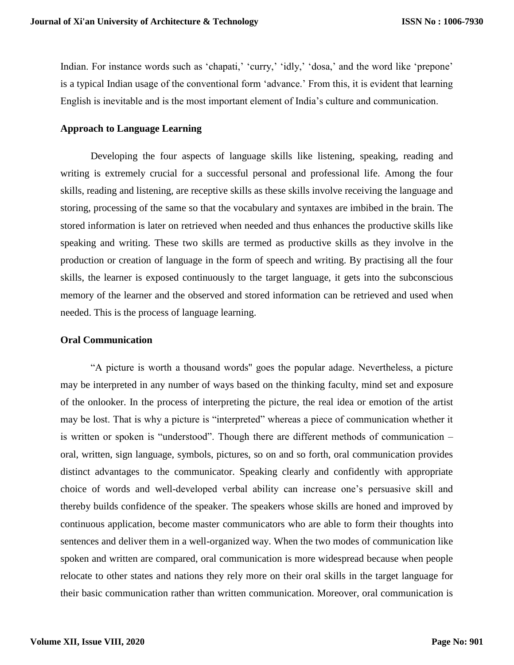Indian. For instance words such as 'chapati,' 'curry,' 'idly,' 'dosa,' and the word like 'prepone' is a typical Indian usage of the conventional form 'advance.' From this, it is evident that learning English is inevitable and is the most important element of India's culture and communication.

## **Approach to Language Learning**

Developing the four aspects of language skills like listening, speaking, reading and writing is extremely crucial for a successful personal and professional life. Among the four skills, reading and listening, are receptive skills as these skills involve receiving the language and storing, processing of the same so that the vocabulary and syntaxes are imbibed in the brain. The stored information is later on retrieved when needed and thus enhances the productive skills like speaking and writing. These two skills are termed as productive skills as they involve in the production or creation of language in the form of speech and writing. By practising all the four skills, the learner is exposed continuously to the target language, it gets into the subconscious memory of the learner and the observed and stored information can be retrieved and used when needed. This is the process of language learning.

## **Oral Communication**

"A picture is worth a thousand words'' goes the popular adage. Nevertheless, a picture may be interpreted in any number of ways based on the thinking faculty, mind set and exposure of the onlooker. In the process of interpreting the picture, the real idea or emotion of the artist may be lost. That is why a picture is "interpreted" whereas a piece of communication whether it is written or spoken is "understood". Though there are different methods of communication – oral, written, sign language, symbols, pictures, so on and so forth, oral communication provides distinct advantages to the communicator. Speaking clearly and confidently with appropriate choice of words and well-developed verbal ability can increase one's persuasive skill and thereby builds confidence of the speaker. The speakers whose skills are honed and improved by continuous application, become master communicators who are able to form their thoughts into sentences and deliver them in a well-organized way. When the two modes of communication like spoken and written are compared, oral communication is more widespread because when people relocate to other states and nations they rely more on their oral skills in the target language for their basic communication rather than written communication. Moreover, oral communication is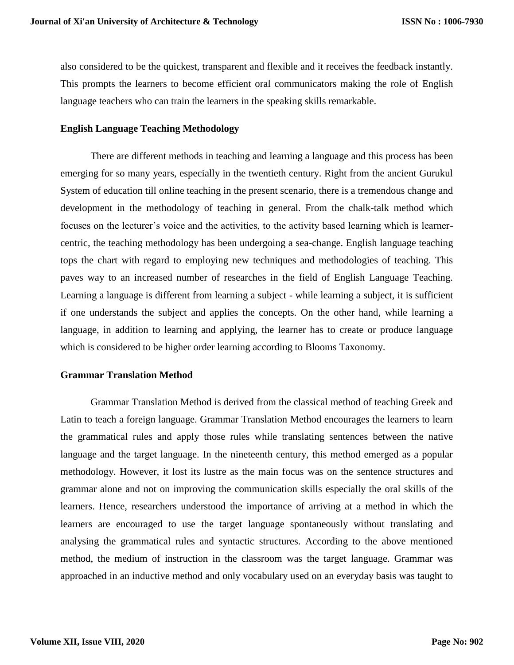also considered to be the quickest, transparent and flexible and it receives the feedback instantly. This prompts the learners to become efficient oral communicators making the role of English language teachers who can train the learners in the speaking skills remarkable.

#### **English Language Teaching Methodology**

There are different methods in teaching and learning a language and this process has been emerging for so many years, especially in the twentieth century. Right from the ancient Gurukul System of education till online teaching in the present scenario, there is a tremendous change and development in the methodology of teaching in general. From the chalk-talk method which focuses on the lecturer's voice and the activities, to the activity based learning which is learnercentric, the teaching methodology has been undergoing a sea-change. English language teaching tops the chart with regard to employing new techniques and methodologies of teaching. This paves way to an increased number of researches in the field of English Language Teaching. Learning a language is different from learning a subject - while learning a subject, it is sufficient if one understands the subject and applies the concepts. On the other hand, while learning a language, in addition to learning and applying, the learner has to create or produce language which is considered to be higher order learning according to Blooms Taxonomy.

#### **Grammar Translation Method**

Grammar Translation Method is derived from the classical method of teaching Greek and Latin to teach a foreign language. Grammar Translation Method encourages the learners to learn the grammatical rules and apply those rules while translating sentences between the native language and the target language. In the nineteenth century, this method emerged as a popular methodology. However, it lost its lustre as the main focus was on the sentence structures and grammar alone and not on improving the communication skills especially the oral skills of the learners. Hence, researchers understood the importance of arriving at a method in which the learners are encouraged to use the target language spontaneously without translating and analysing the grammatical rules and syntactic structures. According to the above mentioned method, the medium of instruction in the classroom was the target language. Grammar was approached in an inductive method and only vocabulary used on an everyday basis was taught to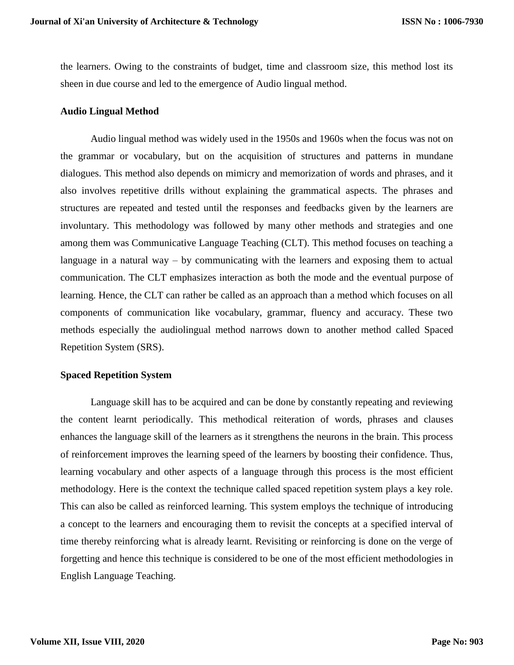the learners. Owing to the constraints of budget, time and classroom size, this method lost its sheen in due course and led to the emergence of Audio lingual method.

### **Audio Lingual Method**

Audio lingual method was widely used in the 1950s and 1960s when the focus was not on the grammar or vocabulary, but on the acquisition of structures and patterns in mundane dialogues. This method also depends on mimicry and memorization of words and phrases, and it also involves repetitive drills without explaining the grammatical aspects. The phrases and structures are repeated and tested until the responses and feedbacks given by the learners are involuntary. This methodology was followed by many other methods and strategies and one among them was Communicative Language Teaching (CLT). This method focuses on teaching a language in a natural way – by communicating with the learners and exposing them to actual communication. The CLT emphasizes interaction as both the mode and the eventual purpose of learning. Hence, the CLT can rather be called as an approach than a method which focuses on all components of communication like vocabulary, grammar, fluency and accuracy. These two methods especially the audiolingual method narrows down to another method called Spaced Repetition System (SRS).

## **Spaced Repetition System**

Language skill has to be acquired and can be done by constantly repeating and reviewing the content learnt periodically. This methodical reiteration of words, phrases and clauses enhances the language skill of the learners as it strengthens the neurons in the brain. This process of reinforcement improves the learning speed of the learners by boosting their confidence. Thus, learning vocabulary and other aspects of a language through this process is the most efficient methodology. Here is the context the technique called spaced repetition system plays a key role. This can also be called as reinforced learning. This system employs the technique of introducing a concept to the learners and encouraging them to revisit the concepts at a specified interval of time thereby reinforcing what is already learnt. Revisiting or reinforcing is done on the verge of forgetting and hence this technique is considered to be one of the most efficient methodologies in English Language Teaching.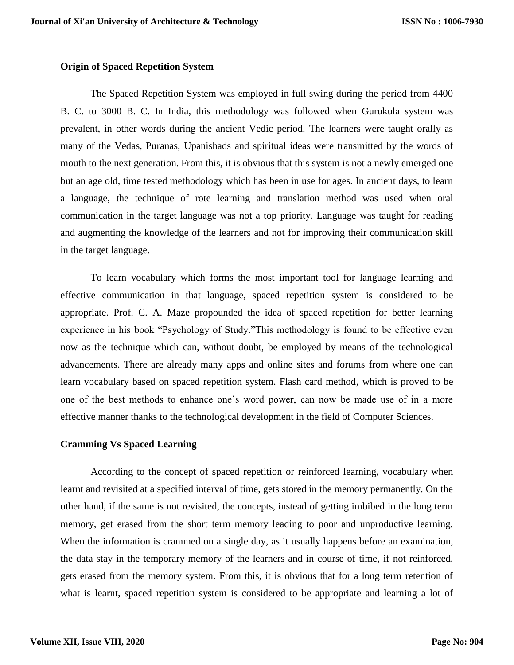#### **Origin of Spaced Repetition System**

The Spaced Repetition System was employed in full swing during the period from 4400 B. C. to 3000 B. C. In India, this methodology was followed when Gurukula system was prevalent, in other words during the ancient Vedic period. The learners were taught orally as many of the Vedas, Puranas, Upanishads and spiritual ideas were transmitted by the words of mouth to the next generation. From this, it is obvious that this system is not a newly emerged one but an age old, time tested methodology which has been in use for ages. In ancient days, to learn a language, the technique of rote learning and translation method was used when oral communication in the target language was not a top priority. Language was taught for reading and augmenting the knowledge of the learners and not for improving their communication skill in the target language.

To learn vocabulary which forms the most important tool for language learning and effective communication in that language, spaced repetition system is considered to be appropriate. Prof. C. A. Maze propounded the idea of spaced repetition for better learning experience in his book "Psychology of Study."This methodology is found to be effective even now as the technique which can, without doubt, be employed by means of the technological advancements. There are already many apps and online sites and forums from where one can learn vocabulary based on spaced repetition system. Flash card method, which is proved to be one of the best methods to enhance one's word power, can now be made use of in a more effective manner thanks to the technological development in the field of Computer Sciences.

#### **Cramming Vs Spaced Learning**

According to the concept of spaced repetition or reinforced learning, vocabulary when learnt and revisited at a specified interval of time, gets stored in the memory permanently. On the other hand, if the same is not revisited, the concepts, instead of getting imbibed in the long term memory, get erased from the short term memory leading to poor and unproductive learning. When the information is crammed on a single day, as it usually happens before an examination, the data stay in the temporary memory of the learners and in course of time, if not reinforced, gets erased from the memory system. From this, it is obvious that for a long term retention of what is learnt, spaced repetition system is considered to be appropriate and learning a lot of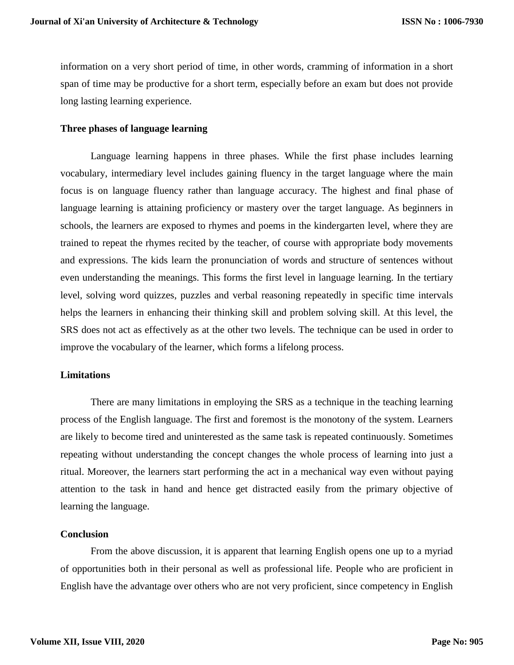information on a very short period of time, in other words, cramming of information in a short span of time may be productive for a short term, especially before an exam but does not provide long lasting learning experience.

#### **Three phases of language learning**

Language learning happens in three phases. While the first phase includes learning vocabulary, intermediary level includes gaining fluency in the target language where the main focus is on language fluency rather than language accuracy. The highest and final phase of language learning is attaining proficiency or mastery over the target language. As beginners in schools, the learners are exposed to rhymes and poems in the kindergarten level, where they are trained to repeat the rhymes recited by the teacher, of course with appropriate body movements and expressions. The kids learn the pronunciation of words and structure of sentences without even understanding the meanings. This forms the first level in language learning. In the tertiary level, solving word quizzes, puzzles and verbal reasoning repeatedly in specific time intervals helps the learners in enhancing their thinking skill and problem solving skill. At this level, the SRS does not act as effectively as at the other two levels. The technique can be used in order to improve the vocabulary of the learner, which forms a lifelong process.

#### **Limitations**

There are many limitations in employing the SRS as a technique in the teaching learning process of the English language. The first and foremost is the monotony of the system. Learners are likely to become tired and uninterested as the same task is repeated continuously. Sometimes repeating without understanding the concept changes the whole process of learning into just a ritual. Moreover, the learners start performing the act in a mechanical way even without paying attention to the task in hand and hence get distracted easily from the primary objective of learning the language.

## **Conclusion**

From the above discussion, it is apparent that learning English opens one up to a myriad of opportunities both in their personal as well as professional life. People who are proficient in English have the advantage over others who are not very proficient, since competency in English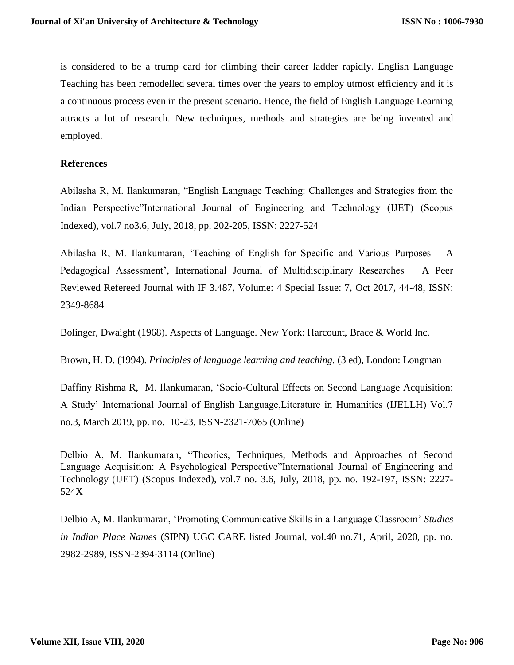is considered to be a trump card for climbing their career ladder rapidly. English Language Teaching has been remodelled several times over the years to employ utmost efficiency and it is a continuous process even in the present scenario. Hence, the field of English Language Learning attracts a lot of research. New techniques, methods and strategies are being invented and employed.

## **References**

Abilasha R, M. Ilankumaran, "English Language Teaching: Challenges and Strategies from the Indian Perspective"International Journal of Engineering and Technology (IJET) (Scopus Indexed), vol.7 no3.6, July, 2018, pp. 202-205, ISSN: 2227-524

Abilasha R, M. Ilankumaran, 'Teaching of English for Specific and Various Purposes – A Pedagogical Assessment', International Journal of Multidisciplinary Researches – A Peer Reviewed Refereed Journal with IF 3.487, Volume: 4 Special Issue: 7, Oct 2017, 44-48, ISSN: 2349-8684

Bolinger, Dwaight (1968). Aspects of Language. New York: Harcount, Brace & World Inc.

Brown, H. D. (1994). *Principles of language learning and teaching.* (3 ed), London: Longman

Daffiny Rishma R, M. Ilankumaran, 'Socio-Cultural Effects on Second Language Acquisition: A Study' International Journal of English Language,Literature in Humanities (IJELLH) Vol.7 no.3, March 2019, pp. no. 10-23, ISSN-2321-7065 (Online)

Delbio A, M. Ilankumaran, "Theories, Techniques, Methods and Approaches of Second Language Acquisition: A Psychological Perspective"International Journal of Engineering and Technology (IJET) (Scopus Indexed), vol.7 no. 3.6, July, 2018, pp. no. 192-197, ISSN: 2227- 524X

Delbio A, M. Ilankumaran, 'Promoting Communicative Skills in a Language Classroom' *Studies in Indian Place Names* (SIPN) UGC CARE listed Journal, vol.40 no.71, April, 2020, pp. no. 2982-2989, ISSN-2394-3114 (Online)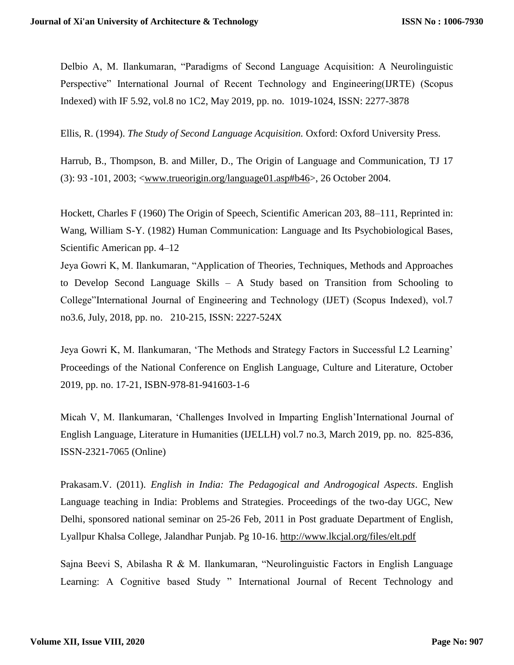Delbio A, M. Ilankumaran, "Paradigms of Second Language Acquisition: A Neurolinguistic Perspective" International Journal of Recent Technology and Engineering(IJRTE) (Scopus Indexed) with IF 5.92, vol.8 no 1C2, May 2019, pp. no. 1019-1024, ISSN: 2277-3878

Ellis, R. (1994). *The Study of Second Language Acquisition.* Oxford: Oxford University Press.

Harrub, B., Thompson, B. and Miller, D., The Origin of Language and Communication, TJ 17 (3): 93 -101, 2003; [<www.trueorigin.org/language01.asp#b46>](http://www.trueorigin.org/language01.asp#b46), 26 October 2004.

Hockett, Charles F (1960) The Origin of Speech, Scientific American 203, 88–111, Reprinted in: Wang, William S-Y. (1982) Human Communication: Language and Its Psychobiological Bases, Scientific American pp. 4–12

Jeya Gowri K, M. Ilankumaran, "Application of Theories, Techniques, Methods and Approaches to Develop Second Language Skills – A Study based on Transition from Schooling to College"International Journal of Engineering and Technology (IJET) (Scopus Indexed), vol.7 no3.6, July, 2018, pp. no. 210-215, ISSN: 2227-524X

Jeya Gowri K, M. Ilankumaran, 'The Methods and Strategy Factors in Successful L2 Learning' Proceedings of the National Conference on English Language, Culture and Literature, October 2019, pp. no. 17-21, ISBN-978-81-941603-1-6

Micah V, M. Ilankumaran, 'Challenges Involved in Imparting English'International Journal of English Language, Literature in Humanities (IJELLH) vol.7 no.3, March 2019, pp. no. 825-836, ISSN-2321-7065 (Online)

Prakasam.V. (2011). *English in India: The Pedagogical and Androgogical Aspects*. English Language teaching in India: Problems and Strategies. Proceedings of the two-day UGC, New Delhi, sponsored national seminar on 25-26 Feb, 2011 in Post graduate Department of English, Lyallpur Khalsa College, Jalandhar Punjab. Pg 10-16.<http://www.lkcjal.org/files/elt.pdf>

Sajna Beevi S, Abilasha R & M. Ilankumaran, "Neurolinguistic Factors in English Language Learning: A Cognitive based Study " International Journal of Recent Technology and